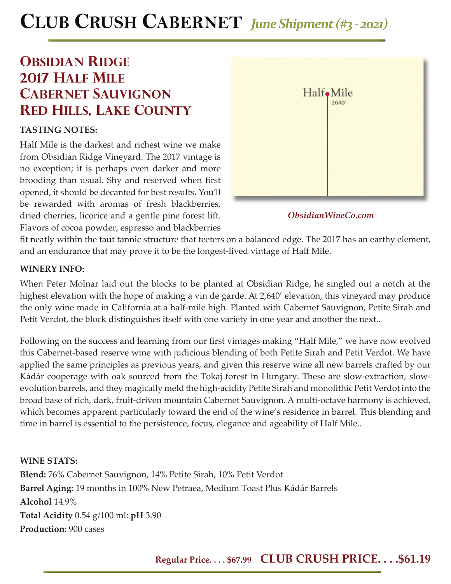# **CLUB CRUSH CABERNET** *June Shipment (#3 - 2021)*

## **OBSIDIAN RIDGE 2017 half mile cabernet sauvignon Red hills, lake county**

## **TASTING NOTES:**

Half Mile is the darkest and richest wine we make from Obsidian Ridge Vineyard. The 2017 vintage is no exception; it is perhaps even darker and more brooding than usual. Shy and reserved when first opened, it should be decanted for best results. You'll be rewarded with aromas of fresh blackberries, dried cherries, licorice and a gentle pine forest lift. Flavors of cocoa powder, espresso and blackberries



*ObsidianWineCo.com*

fit neatly within the taut tannic structure that teeters on a balanced edge. The 2017 has an earthy element, and an endurance that may prove it to be the longest-lived vintage of Half Mile.

### **WINERY INFO:**

When Peter Molnar laid out the blocks to be planted at Obsidian Ridge, he singled out a notch at the highest elevation with the hope of making a vin de garde. At 2,640' elevation, this vineyard may produce the only wine made in California at a half-mile high. Planted with Cabernet Sauvignon, Petite Sirah and Petit Verdot, the block distinguishes itself with one variety in one year and another the next..

Following on the success and learning from our first vintages making "Half Mile," we have now evolved this Cabernet-based reserve wine with judicious blending of both Petite Sirah and Petit Verdot. We have applied the same principles as previous years, and given this reserve wine all new barrels crafted by our Kádár cooperage with oak sourced from the Tokaj forest in Hungary. These are slow-extraction, slowevolution barrels, and they magically meld the high-acidity Petite Sirah and monolithic Petit Verdot into the broad base of rich, dark, fruit-driven mountain Cabernet Sauvignon. A multi-octave harmony is achieved, which becomes apparent particularly toward the end of the wine's residence in barrel. This blending and time in barrel is essential to the persistence, focus, elegance and ageability of Half Mile..

**WINE STATS: Blend:** 76% Cabernet Sauvignon, 14% Petite Sirah, 10% Petit Verdot **Barrel Aging:** 19 months in 100% New Petraea, Medium Toast Plus Kádár Barrels **Alcohol** 14.9% **Total Acidity** 0.54 g/100 ml: **pH** 3.90 **Production:** 900 cases